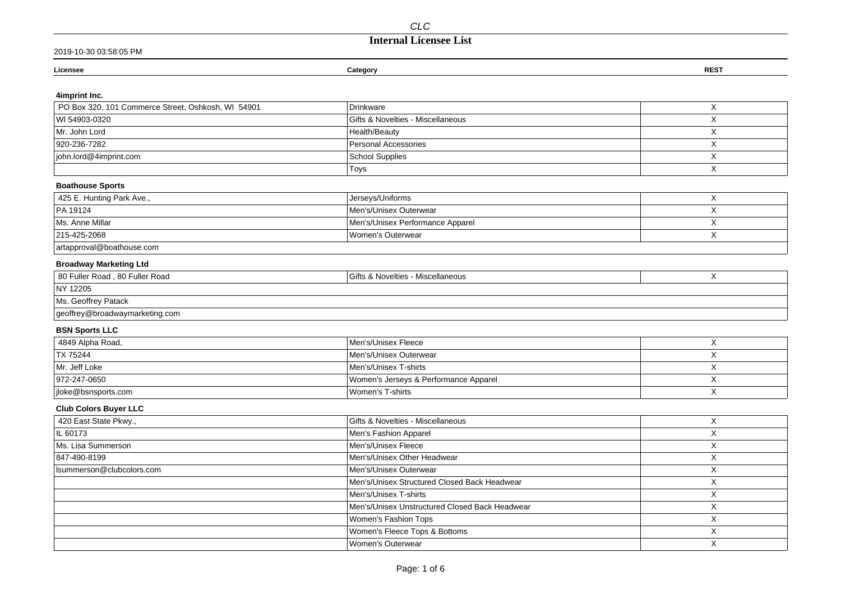## **Internal Licensee List**

| Licensee | Category | <b>REST</b> |
|----------|----------|-------------|
|          |          |             |
|          |          |             |

### **4imprint Inc.**

| PO Box 320, 101 Commerce Street, Oshkosh, WI 54901 | Drinkware                                      | X |
|----------------------------------------------------|------------------------------------------------|---|
| WI 54903-0320                                      | Gifts & Novelties - Miscellaneous              | X |
| Mr. John Lord                                      | Health/Beauty                                  | X |
| 920-236-7282                                       | Personal Accessories                           | X |
| john.lord@4imprint.com                             | <b>School Supplies</b>                         | X |
|                                                    | Toys                                           | X |
| <b>Boathouse Sports</b>                            |                                                |   |
| 425 E. Hunting Park Ave.,                          | Jerseys/Uniforms                               | Χ |
| PA 19124                                           | Men's/Unisex Outerwear                         | X |
| Ms. Anne Millar                                    | Men's/Unisex Performance Apparel               | X |
| 215-425-2068                                       | Women's Outerwear                              | X |
| artapproval@boathouse.com                          |                                                |   |
| <b>Broadway Marketing Ltd</b>                      |                                                |   |
| 80 Fuller Road, 80 Fuller Road                     | Gifts & Novelties - Miscellaneous              | X |
| NY 12205                                           |                                                |   |
| Ms. Geoffrey Patack                                |                                                |   |
| geoffrey@broadwaymarketing.com                     |                                                |   |
| <b>BSN Sports LLC</b>                              |                                                |   |
| 4849 Alpha Road,                                   | Men's/Unisex Fleece                            | X |
| TX 75244                                           | Men's/Unisex Outerwear                         | X |
| Mr. Jeff Loke                                      | Men's/Unisex T-shirts                          | X |
| 972-247-0650                                       | Women's Jerseys & Performance Apparel          | X |
| jloke@bsnsports.com                                | Women's T-shirts                               | X |
| <b>Club Colors Buyer LLC</b>                       |                                                |   |
| 420 East State Pkwy.,                              | Gifts & Novelties - Miscellaneous              | X |
| IL 60173                                           | Men's Fashion Apparel                          | X |
| Ms. Lisa Summerson                                 | Men's/Unisex Fleece                            | X |
| 847-490-8199                                       | Men's/Unisex Other Headwear                    | X |
| Isummerson@clubcolors.com                          | Men's/Unisex Outerwear                         | Χ |
|                                                    | Men's/Unisex Structured Closed Back Headwear   | X |
|                                                    | Men's/Unisex T-shirts                          | X |
|                                                    | Men's/Unisex Unstructured Closed Back Headwear | X |
|                                                    | Women's Fashion Tops                           | Χ |
|                                                    | Women's Fleece Tops & Bottoms                  | X |
|                                                    | Women's Outerwear                              | X |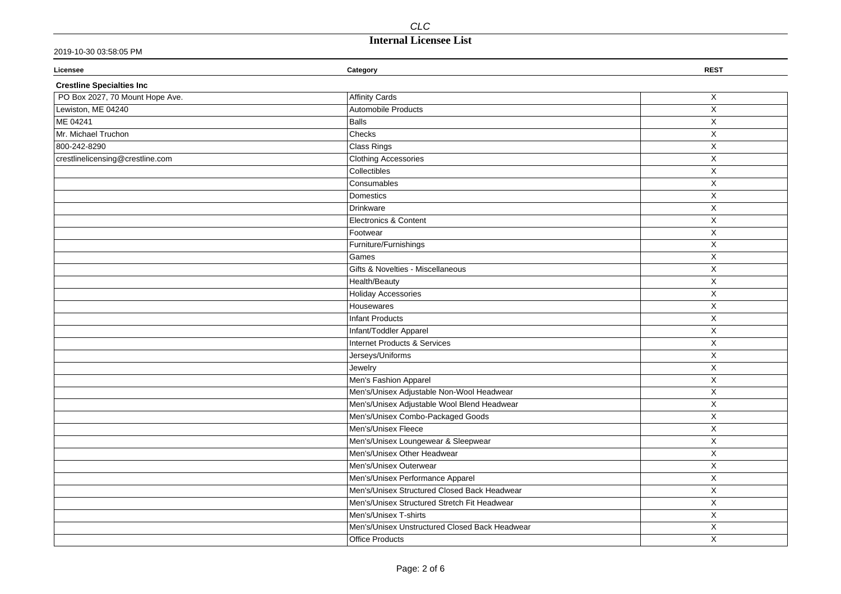# **Internal Licensee List**

### 2019-10-30 03:58:05 PM

| Licensee                         | Category                                       | <b>REST</b>             |
|----------------------------------|------------------------------------------------|-------------------------|
| <b>Crestline Specialties Inc</b> |                                                |                         |
| PO Box 2027, 70 Mount Hope Ave.  | Affinity Cards                                 | X                       |
| Lewiston, ME 04240               | Automobile Products                            | X                       |
| ME 04241                         | <b>Balls</b>                                   | X                       |
| Mr. Michael Truchon              | Checks                                         | $\mathsf X$             |
| 800-242-8290                     | Class Rings                                    | $\overline{\mathsf{X}}$ |
| crestlinelicensing@crestline.com | <b>Clothing Accessories</b>                    | $\mathsf X$             |
|                                  | Collectibles                                   | X                       |
|                                  | Consumables                                    | $\mathsf X$             |
|                                  | Domestics                                      | X                       |
|                                  | Drinkware                                      | X                       |
|                                  | Electronics & Content                          | X                       |
|                                  | Footwear                                       | $\mathsf X$             |
|                                  | Furniture/Furnishings                          | X                       |
|                                  | Games                                          | $\mathsf X$             |
|                                  | Gifts & Novelties - Miscellaneous              | $\pmb{\times}$          |
|                                  | Health/Beauty                                  | X                       |
|                                  | <b>Holiday Accessories</b>                     | X                       |
|                                  | Housewares                                     | X                       |
|                                  | Infant Products                                | X                       |
|                                  | Infant/Toddler Apparel                         | X                       |
|                                  | Internet Products & Services                   | X                       |
|                                  | Jerseys/Uniforms                               | X                       |
|                                  | Jewelry                                        | X                       |
|                                  | Men's Fashion Apparel                          | $\mathsf X$             |
|                                  | Men's/Unisex Adjustable Non-Wool Headwear      | $\overline{X}$          |
|                                  | Men's/Unisex Adjustable Wool Blend Headwear    | X                       |
|                                  | Men's/Unisex Combo-Packaged Goods              | $\mathsf X$             |
|                                  | Men's/Unisex Fleece                            | X                       |
|                                  | Men's/Unisex Loungewear & Sleepwear            | X                       |
|                                  | Men's/Unisex Other Headwear                    | X                       |
|                                  | Men's/Unisex Outerwear                         | X                       |
|                                  | Men's/Unisex Performance Apparel               | X                       |
|                                  | Men's/Unisex Structured Closed Back Headwear   | $\mathsf X$             |
|                                  | Men's/Unisex Structured Stretch Fit Headwear   | $\mathsf X$             |
|                                  | Men's/Unisex T-shirts                          | $\mathsf X$             |
|                                  | Men's/Unisex Unstructured Closed Back Headwear | X                       |
|                                  | <b>Office Products</b>                         | X                       |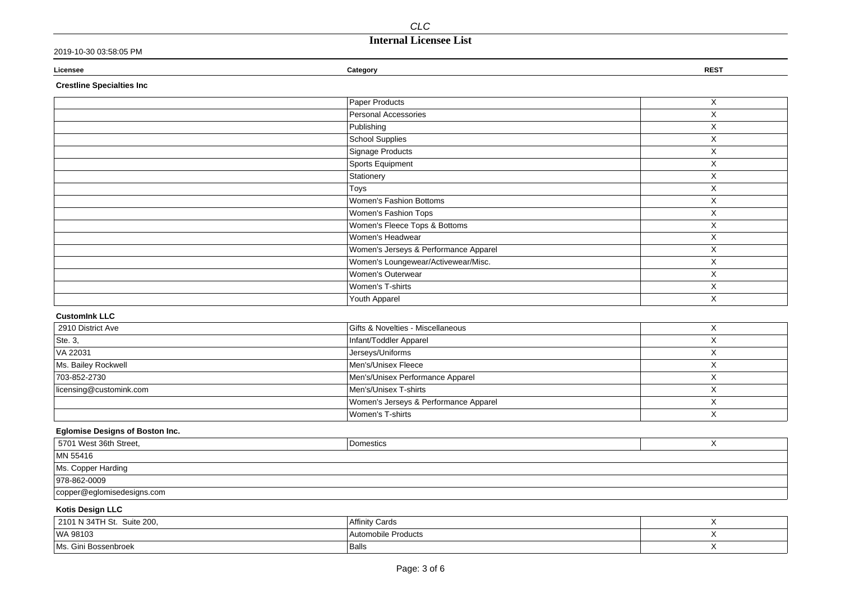# **Internal Licensee List**

| 2019-10-30 03:58:05 PM           |                                       |             |
|----------------------------------|---------------------------------------|-------------|
| Licensee                         | Category                              | <b>REST</b> |
| <b>Crestline Specialties Inc</b> |                                       |             |
|                                  | Paper Products                        | X           |
|                                  | Personal Accessories                  | X           |
|                                  | Publishing                            | X           |
|                                  | <b>School Supplies</b>                | Χ           |
|                                  | Signage Products                      | Χ           |
|                                  | Sports Equipment                      | X           |
|                                  | Stationery                            | X           |
|                                  | Toys                                  | X           |
|                                  | Women's Fashion Bottoms               | X           |
|                                  | Women's Fashion Tops                  | X           |
|                                  | Women's Fleece Tops & Bottoms         | X           |
|                                  | Women's Headwear                      | X           |
|                                  | Women's Jerseys & Performance Apparel | X           |
|                                  | Women's Loungewear/Activewear/Misc.   | Χ           |
|                                  | Women's Outerwear                     | X           |
|                                  | Women's T-shirts                      | X           |
|                                  | Youth Apparel                         | X           |
| <b>CustomInk LLC</b>             |                                       |             |
| 2910 District Ave                | Gifts & Novelties - Miscellaneous     | X           |
| Ste. 3,                          | Infant/Toddler Apparel                | X           |
| VA 22031                         | Jerseys/Uniforms                      | X           |
| Ms. Bailey Rockwell              | Men's/Unisex Fleece                   | X           |
| 703-852-2730                     | Men's/Unisex Performance Apparel      | X           |
| licensing@customink.com          | Men's/Unisex T-shirts                 | X           |
|                                  | Women's Jerseys & Performance Apparel | X           |

### **Eglomise Designs of Boston Inc.**

| 5701 West 36th Street,             | Domestics |  |
|------------------------------------|-----------|--|
| MN 55416                           |           |  |
| Ms. Copper Harding                 |           |  |
| 978-862-0009                       |           |  |
| $\vert$ copper@eglomisedesigns.com |           |  |

X

Women's T-shirts

### **Kotis Design LLC**

| <sup>1</sup> 2101 N 34TH St. Suite 200, | Affinity Cards      |  |
|-----------------------------------------|---------------------|--|
| WA 98103                                | Automobile Products |  |
| Ms. Gini Bossenbroek                    | Balls               |  |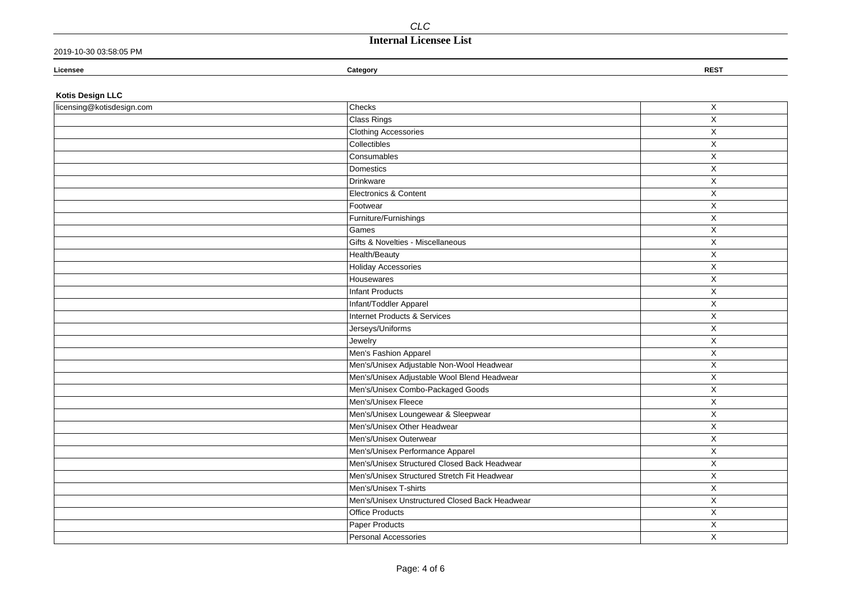# **Internal Licensee List**

### 2019-10-30 03:58:05 PM

| Licensee                  | Category      | <b>REST</b> |
|---------------------------|---------------|-------------|
| <b>Kotis Design LLC</b>   |               |             |
| licensing@kotisdesign.com | <b>Checks</b> |             |
|                           | $Cl$ Pinne    |             |

| <b>Clothing Accessories</b><br>X<br>Collectibles<br>X<br>X<br>Consumables<br>Domestics<br>$\mathsf X$<br>Drinkware<br>$\mathsf X$<br>Electronics & Content<br>$\mathsf{X}$<br>X<br>Footwear<br>Furniture/Furnishings<br>$\mathsf X$<br>$\mathsf X$<br>Games<br>$\mathsf{X}$<br>Gifts & Novelties - Miscellaneous<br>$\overline{X}$<br>Health/Beauty<br><b>Holiday Accessories</b><br>X<br>Housewares<br>X<br><b>Infant Products</b><br>$\mathsf X$<br>Infant/Toddler Apparel<br>X<br><b>Internet Products &amp; Services</b><br>X<br>Jerseys/Uniforms<br>X<br>$\mathsf X$<br>Jewelry<br>Men's Fashion Apparel<br>X<br>Men's/Unisex Adjustable Non-Wool Headwear<br>X<br>Men's/Unisex Adjustable Wool Blend Headwear<br>X<br>Men's/Unisex Combo-Packaged Goods<br>X<br>Men's/Unisex Fleece<br>$\mathsf X$<br>Men's/Unisex Loungewear & Sleepwear<br>X<br>Men's/Unisex Other Headwear<br>X<br>Men's/Unisex Outerwear<br>X<br>Men's/Unisex Performance Apparel<br>$\overline{X}$<br>Men's/Unisex Structured Closed Back Headwear<br>X<br>Men's/Unisex Structured Stretch Fit Headwear<br>X<br>Men's/Unisex T-shirts<br>X<br>Men's/Unisex Unstructured Closed Back Headwear<br>X<br><b>Office Products</b><br>$\mathsf X$<br>Paper Products<br>X<br>Personal Accessories<br>X | Class Rings | $\mathsf X$ |
|---------------------------------------------------------------------------------------------------------------------------------------------------------------------------------------------------------------------------------------------------------------------------------------------------------------------------------------------------------------------------------------------------------------------------------------------------------------------------------------------------------------------------------------------------------------------------------------------------------------------------------------------------------------------------------------------------------------------------------------------------------------------------------------------------------------------------------------------------------------------------------------------------------------------------------------------------------------------------------------------------------------------------------------------------------------------------------------------------------------------------------------------------------------------------------------------------------------------------------------------------------------------------|-------------|-------------|
|                                                                                                                                                                                                                                                                                                                                                                                                                                                                                                                                                                                                                                                                                                                                                                                                                                                                                                                                                                                                                                                                                                                                                                                                                                                                           |             |             |
|                                                                                                                                                                                                                                                                                                                                                                                                                                                                                                                                                                                                                                                                                                                                                                                                                                                                                                                                                                                                                                                                                                                                                                                                                                                                           |             |             |
|                                                                                                                                                                                                                                                                                                                                                                                                                                                                                                                                                                                                                                                                                                                                                                                                                                                                                                                                                                                                                                                                                                                                                                                                                                                                           |             |             |
|                                                                                                                                                                                                                                                                                                                                                                                                                                                                                                                                                                                                                                                                                                                                                                                                                                                                                                                                                                                                                                                                                                                                                                                                                                                                           |             |             |
|                                                                                                                                                                                                                                                                                                                                                                                                                                                                                                                                                                                                                                                                                                                                                                                                                                                                                                                                                                                                                                                                                                                                                                                                                                                                           |             |             |
|                                                                                                                                                                                                                                                                                                                                                                                                                                                                                                                                                                                                                                                                                                                                                                                                                                                                                                                                                                                                                                                                                                                                                                                                                                                                           |             |             |
|                                                                                                                                                                                                                                                                                                                                                                                                                                                                                                                                                                                                                                                                                                                                                                                                                                                                                                                                                                                                                                                                                                                                                                                                                                                                           |             |             |
|                                                                                                                                                                                                                                                                                                                                                                                                                                                                                                                                                                                                                                                                                                                                                                                                                                                                                                                                                                                                                                                                                                                                                                                                                                                                           |             |             |
|                                                                                                                                                                                                                                                                                                                                                                                                                                                                                                                                                                                                                                                                                                                                                                                                                                                                                                                                                                                                                                                                                                                                                                                                                                                                           |             |             |
|                                                                                                                                                                                                                                                                                                                                                                                                                                                                                                                                                                                                                                                                                                                                                                                                                                                                                                                                                                                                                                                                                                                                                                                                                                                                           |             |             |
|                                                                                                                                                                                                                                                                                                                                                                                                                                                                                                                                                                                                                                                                                                                                                                                                                                                                                                                                                                                                                                                                                                                                                                                                                                                                           |             |             |
|                                                                                                                                                                                                                                                                                                                                                                                                                                                                                                                                                                                                                                                                                                                                                                                                                                                                                                                                                                                                                                                                                                                                                                                                                                                                           |             |             |
|                                                                                                                                                                                                                                                                                                                                                                                                                                                                                                                                                                                                                                                                                                                                                                                                                                                                                                                                                                                                                                                                                                                                                                                                                                                                           |             |             |
|                                                                                                                                                                                                                                                                                                                                                                                                                                                                                                                                                                                                                                                                                                                                                                                                                                                                                                                                                                                                                                                                                                                                                                                                                                                                           |             |             |
|                                                                                                                                                                                                                                                                                                                                                                                                                                                                                                                                                                                                                                                                                                                                                                                                                                                                                                                                                                                                                                                                                                                                                                                                                                                                           |             |             |
|                                                                                                                                                                                                                                                                                                                                                                                                                                                                                                                                                                                                                                                                                                                                                                                                                                                                                                                                                                                                                                                                                                                                                                                                                                                                           |             |             |
|                                                                                                                                                                                                                                                                                                                                                                                                                                                                                                                                                                                                                                                                                                                                                                                                                                                                                                                                                                                                                                                                                                                                                                                                                                                                           |             |             |
|                                                                                                                                                                                                                                                                                                                                                                                                                                                                                                                                                                                                                                                                                                                                                                                                                                                                                                                                                                                                                                                                                                                                                                                                                                                                           |             |             |
|                                                                                                                                                                                                                                                                                                                                                                                                                                                                                                                                                                                                                                                                                                                                                                                                                                                                                                                                                                                                                                                                                                                                                                                                                                                                           |             |             |
|                                                                                                                                                                                                                                                                                                                                                                                                                                                                                                                                                                                                                                                                                                                                                                                                                                                                                                                                                                                                                                                                                                                                                                                                                                                                           |             |             |
|                                                                                                                                                                                                                                                                                                                                                                                                                                                                                                                                                                                                                                                                                                                                                                                                                                                                                                                                                                                                                                                                                                                                                                                                                                                                           |             |             |
|                                                                                                                                                                                                                                                                                                                                                                                                                                                                                                                                                                                                                                                                                                                                                                                                                                                                                                                                                                                                                                                                                                                                                                                                                                                                           |             |             |
|                                                                                                                                                                                                                                                                                                                                                                                                                                                                                                                                                                                                                                                                                                                                                                                                                                                                                                                                                                                                                                                                                                                                                                                                                                                                           |             |             |
|                                                                                                                                                                                                                                                                                                                                                                                                                                                                                                                                                                                                                                                                                                                                                                                                                                                                                                                                                                                                                                                                                                                                                                                                                                                                           |             |             |
|                                                                                                                                                                                                                                                                                                                                                                                                                                                                                                                                                                                                                                                                                                                                                                                                                                                                                                                                                                                                                                                                                                                                                                                                                                                                           |             |             |
|                                                                                                                                                                                                                                                                                                                                                                                                                                                                                                                                                                                                                                                                                                                                                                                                                                                                                                                                                                                                                                                                                                                                                                                                                                                                           |             |             |
|                                                                                                                                                                                                                                                                                                                                                                                                                                                                                                                                                                                                                                                                                                                                                                                                                                                                                                                                                                                                                                                                                                                                                                                                                                                                           |             |             |
|                                                                                                                                                                                                                                                                                                                                                                                                                                                                                                                                                                                                                                                                                                                                                                                                                                                                                                                                                                                                                                                                                                                                                                                                                                                                           |             |             |
|                                                                                                                                                                                                                                                                                                                                                                                                                                                                                                                                                                                                                                                                                                                                                                                                                                                                                                                                                                                                                                                                                                                                                                                                                                                                           |             |             |
|                                                                                                                                                                                                                                                                                                                                                                                                                                                                                                                                                                                                                                                                                                                                                                                                                                                                                                                                                                                                                                                                                                                                                                                                                                                                           |             |             |
|                                                                                                                                                                                                                                                                                                                                                                                                                                                                                                                                                                                                                                                                                                                                                                                                                                                                                                                                                                                                                                                                                                                                                                                                                                                                           |             |             |
|                                                                                                                                                                                                                                                                                                                                                                                                                                                                                                                                                                                                                                                                                                                                                                                                                                                                                                                                                                                                                                                                                                                                                                                                                                                                           |             |             |
|                                                                                                                                                                                                                                                                                                                                                                                                                                                                                                                                                                                                                                                                                                                                                                                                                                                                                                                                                                                                                                                                                                                                                                                                                                                                           |             |             |
|                                                                                                                                                                                                                                                                                                                                                                                                                                                                                                                                                                                                                                                                                                                                                                                                                                                                                                                                                                                                                                                                                                                                                                                                                                                                           |             |             |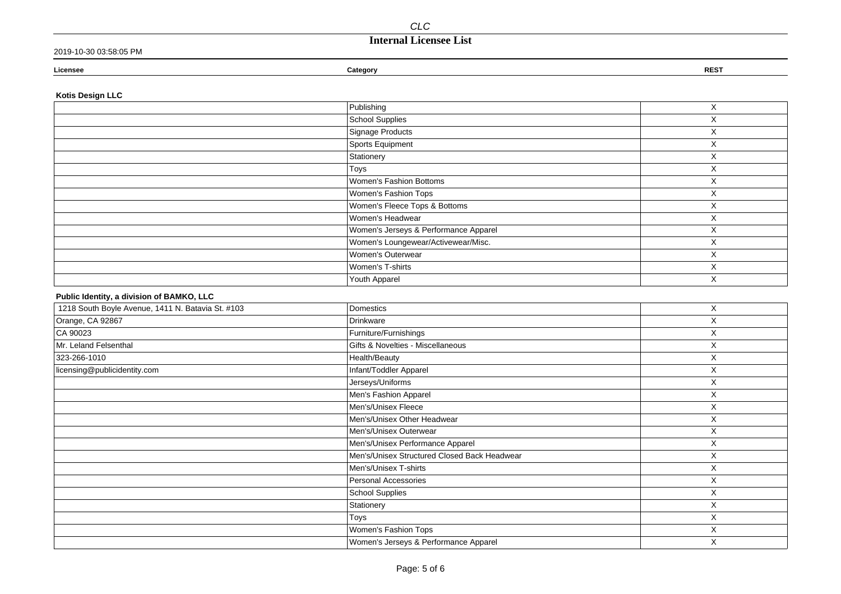## **Internal Licensee List**

|  | 2019-10-30 03:58:05 PM |
|--|------------------------|
|--|------------------------|

| Licensee | Category | <b>REST</b> |
|----------|----------|-------------|
|          |          |             |

### **Kotis Design LLC**

| Publishing                            | X                      |
|---------------------------------------|------------------------|
| School Supplies                       | X                      |
| Signage Products                      | X                      |
| Sports Equipment                      | X                      |
| Stationery                            | X                      |
| Toys                                  | X                      |
| Women's Fashion Bottoms               | X                      |
| Women's Fashion Tops                  | X                      |
| Women's Fleece Tops & Bottoms         | X                      |
| Women's Headwear                      | X                      |
| Women's Jerseys & Performance Apparel | X                      |
| Women's Loungewear/Activewear/Misc.   | $\checkmark$<br>$\sim$ |
| Women's Outerwear                     | X                      |
| Women's T-shirts                      | X                      |
| Youth Apparel                         | X                      |

### **Public Identity, a division of BAMKO, LLC**

| 1218 South Boyle Avenue, 1411 N. Batavia St. #103 | Domestics                                    | X |
|---------------------------------------------------|----------------------------------------------|---|
| Orange, CA 92867                                  | Drinkware                                    | Χ |
| CA 90023                                          | Furniture/Furnishings                        | X |
| Mr. Leland Felsenthal                             | Gifts & Novelties - Miscellaneous            | X |
| 323-266-1010                                      | Health/Beauty                                | X |
| licensing@publicidentity.com                      | Infant/Toddler Apparel                       | X |
|                                                   | Jerseys/Uniforms                             | X |
|                                                   | Men's Fashion Apparel                        | X |
|                                                   | Men's/Unisex Fleece                          | X |
|                                                   | Men's/Unisex Other Headwear                  | Χ |
|                                                   | Men's/Unisex Outerwear                       | X |
|                                                   | Men's/Unisex Performance Apparel             | X |
|                                                   | Men's/Unisex Structured Closed Back Headwear | X |
|                                                   | Men's/Unisex T-shirts                        | Χ |
|                                                   | Personal Accessories                         | X |
|                                                   | School Supplies                              | X |
|                                                   | Stationery                                   | Χ |
|                                                   | Toys                                         | X |
|                                                   | Women's Fashion Tops                         | X |
|                                                   | Women's Jerseys & Performance Apparel        | X |